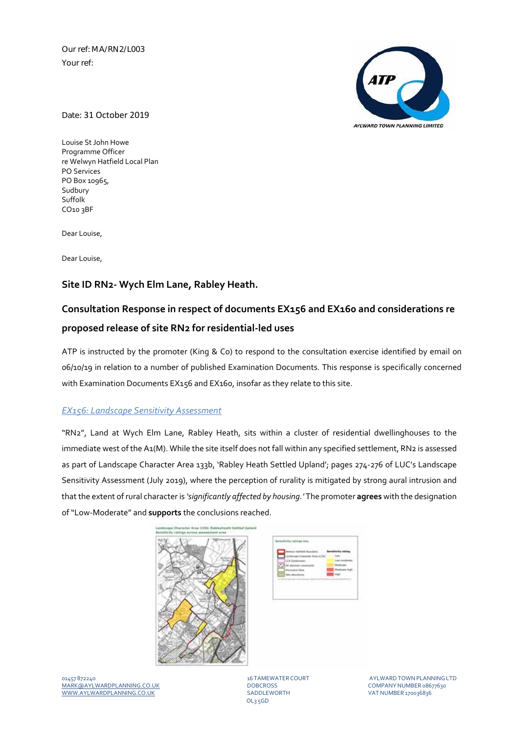Our ref: MA/RN2/L003 Your ref:



Date: 31 October 2019

Louise St John Howe Programme Officer re Welwyn Hatfield Local Plan PO Services PO Box 10965, Sudbury Suffolk CO10 3BF

Dear Louise,

Dear Louise,

## **Site ID RN2‐ Wych Elm Lane, Rabley Heath.**

# **Consultation Response in respect of documents EX156 and EX160 and considerations re proposed release of site RN2 for residential‐led uses**

ATP is instructed by the promoter (King & Co) to respond to the consultation exercise identified by email on 06/10/19 in relation to a number of published Examination Documents. This response is specifically concerned with Examination Documents EX156 and EX160, insofar as they relate to this site.

### *EX156: Landscape Sensitivity Assessment*

"RN2", Land at Wych Elm Lane, Rabley Heath, sits within a cluster of residential dwellinghouses to the immediate west of the A1(M). While the site itself does not fall within any specified settlement, RN2 is assessed as part of Landscape Character Area 133b, 'Rabley Heath Settled Upland'; pages 274‐276 of LUC's Landscape Sensitivity Assessment (July 2019), where the perception of rurality is mitigated by strong aural intrusion and that the extent of rural character is *'significantly affected by housing.'* The promoter **agrees** with the designation of"Low‐Moderate" and **supports** the conclusions reached.



| . |
|---|

01457 872240 16 TAMEWATER COURT AYLWARDTOWNPLANNINGLTD MARK@AYLWARDPLANNING.CO.UK DOBCROSS COMPANYNUMBER 08677630 WWW.AYLWARDPLANNING.CO.UK

OL3 5GD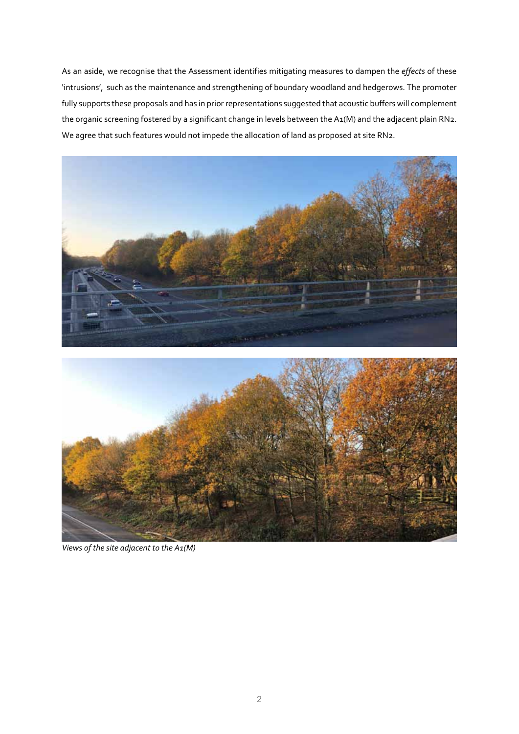As an aside, we recognise that the Assessment identifies mitigating measures to dampen the *effects* of these 'intrusions', such as the maintenance and strengthening of boundary woodland and hedgerows. The promoter fully supports these proposals and has in prior representations suggested that acoustic buffers will complement the organic screening fostered by a significant change in levels between the A1(M) and the adjacent plain RN2. We agree that such features would not impede the allocation of land as proposed at site RN2.



*Views of the site adjacent to the A1(M)*